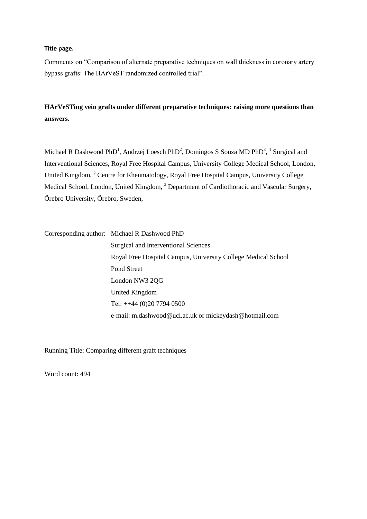## **Title page.**

Comments on "Comparison of alternate preparative techniques on wall thickness in coronary artery bypass grafts: The HArVeST randomized controlled trial".

## **HArVeSTing vein grafts under different preparative techniques: raising more questions than answers.**

Michael R Dashwood PhD<sup>1</sup>, Andrzej Loesch PhD<sup>2</sup>, Domingos S Souza MD PhD<sup>3</sup>, <sup>1</sup> Surgical and Interventional Sciences, Royal Free Hospital Campus, University College Medical School, London, United Kingdom, <sup>2</sup> Centre for Rheumatology, Royal Free Hospital Campus, University College Medical School, London, United Kingdom, <sup>3</sup> Department of Cardiothoracic and Vascular Surgery, Örebro University, Örebro, Sweden,

Corresponding author: Michael R Dashwood PhD Surgical and Interventional Sciences Royal Free Hospital Campus, University College Medical School Pond Street London NW3 2QG United Kingdom Tel: ++44 (0)20 7794 0500 e-mail: m.dashwood@ucl.ac.uk or mickeydash@hotmail.com

Running Title: Comparing different graft techniques

Word count: 494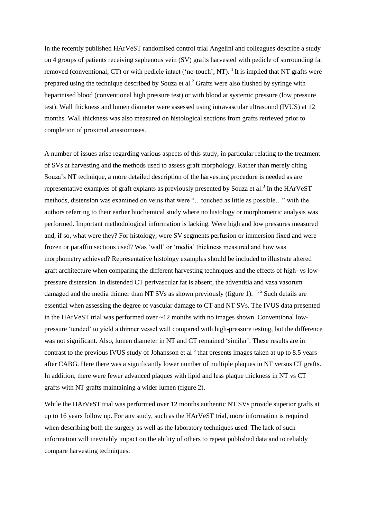In the recently published HArVeST randomised control trial Angelini and colleagues describe a study on 4 groups of patients receiving saphenous vein (SV) grafts harvested with pedicle of surrounding fat removed (conventional, CT) or with pedicle intact ('no-touch', NT). <sup>1</sup> It is implied that NT grafts were prepared using the technique described by Souza et al.<sup>2</sup> Grafts were also flushed by syringe with heparinised blood (conventional high pressure test) or with blood at systemic pressure (low pressure test). Wall thickness and lumen diameter were assessed using intravascular ultrasound (IVUS) at 12 months. Wall thickness was also measured on histological sections from grafts retrieved prior to completion of proximal anastomoses.

A number of issues arise regarding various aspects of this study, in particular relating to the treatment of SVs at harvesting and the methods used to assess graft morphology. Rather than merely citing Souza's NT technique, a more detailed description of the harvesting procedure is needed as are representative examples of graft explants as previously presented by Souza et al.<sup>3</sup> In the HArVeST methods, distension was examined on veins that were "…touched as little as possible…" with the authors referring to their earlier biochemical study where no histology or morphometric analysis was performed. Important methodological information is lacking. Were high and low pressures measured and, if so, what were they? For histology, were SV segments perfusion or immersion fixed and were frozen or paraffin sections used? Was 'wall' or 'media' thickness measured and how was morphometry achieved? Representative histology examples should be included to illustrate altered graft architecture when comparing the different harvesting techniques and the effects of high- vs lowpressure distension. In distended CT perivascular fat is absent, the adventitia and vasa vasorum damaged and the media thinner than NT SVs as shown previously (figure 1).  $4.5$  Such details are essential when assessing the degree of vascular damage to CT and NT SVs. The IVUS data presented in the HArVeST trial was performed over  $\sim$  12 months with no images shown. Conventional lowpressure 'tended' to yield a thinner vessel wall compared with high-pressure testing, but the difference was not significant. Also, lumen diameter in NT and CT remained 'similar'. These results are in contrast to the previous IVUS study of Johansson et al  $<sup>6</sup>$  that presents images taken at up to 8.5 years</sup> after CABG. Here there was a significantly lower number of multiple plaques in NT versus CT grafts. In addition, there were fewer advanced plaques with lipid and less plaque thickness in NT vs CT grafts with NT grafts maintaining a wider lumen (figure 2).

While the HArVeST trial was performed over 12 months authentic NT SVs provide superior grafts at up to 16 years follow up. For any study, such as the HArVeST trial, more information is required when describing both the surgery as well as the laboratory techniques used. The lack of such information will inevitably impact on the ability of others to repeat published data and to reliably compare harvesting techniques.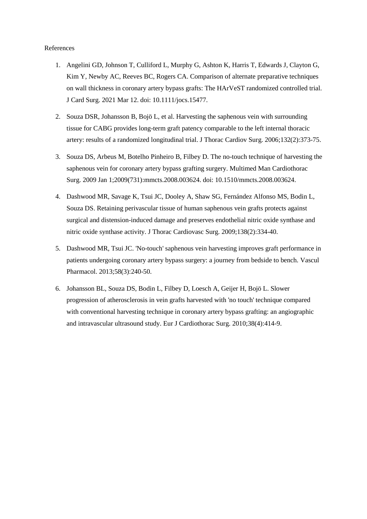## References

- 1. Angelini GD, Johnson T, Culliford L, Murphy G, Ashton K, Harris T, Edwards J, Clayton G, Kim Y, Newby AC, Reeves BC, Rogers CA. Comparison of alternate preparative techniques on wall thickness in coronary artery bypass grafts: The HArVeST randomized controlled trial. J Card Surg. 2021 Mar 12. doi: 10.1111/jocs.15477.
- 2. Souza DSR, Johansson B, Bojö L, et al. Harvesting the saphenous vein with surrounding tissue for CABG provides long-term graft patency comparable to the left internal thoracic artery: results of a randomized longitudinal trial. J Thorac Cardiov Surg. 2006;132(2):373-75.
- 3. Souza DS, Arbeus M, Botelho Pinheiro B, Filbey D. The no-touch technique of harvesting the saphenous vein for coronary artery bypass grafting surgery. Multimed Man Cardiothorac Surg. 2009 Jan 1;2009(731):mmcts.2008.003624. doi: 10.1510/mmcts.2008.003624.
- 4. Dashwood MR, Savage K, Tsui JC, Dooley A, Shaw SG, Fernández Alfonso MS, Bodin L, Souza DS. Retaining perivascular tissue of human saphenous vein grafts protects against surgical and distension-induced damage and preserves endothelial nitric oxide synthase and nitric oxide synthase activity. J Thorac Cardiovasc Surg. 2009;138(2):334-40.
- 5. Dashwood MR, Tsui JC. 'No-touch' saphenous vein harvesting improves graft performance in patients undergoing coronary artery bypass surgery: a journey from bedside to bench. Vascul Pharmacol. 2013;58(3):240-50.
- 6. Johansson BL, Souza DS, Bodin L, Filbey D, Loesch A, Geijer H, Bojö L. Slower progression of atherosclerosis in vein grafts harvested with 'no touch' technique compared with conventional harvesting technique in coronary artery bypass grafting: an angiographic and intravascular ultrasound study. Eur J Cardiothorac Surg. 2010;38(4):414-9.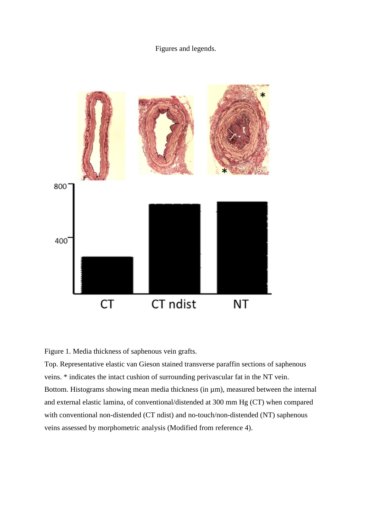## Figures and legends.



Figure 1. Media thickness of saphenous vein grafts.

Top. Representative elastic van Gieson stained transverse paraffin sections of saphenous veins. \* indicates the intact cushion of surrounding perivascular fat in the NT vein. Bottom. Histograms showing mean media thickness (in  $\mu$ m), measured between the internal and external elastic lamina, of conventional/distended at 300 mm Hg (CT) when compared with conventional non-distended (CT ndist) and no-touch/non-distended (NT) saphenous veins assessed by morphometric analysis (Modified from reference 4).